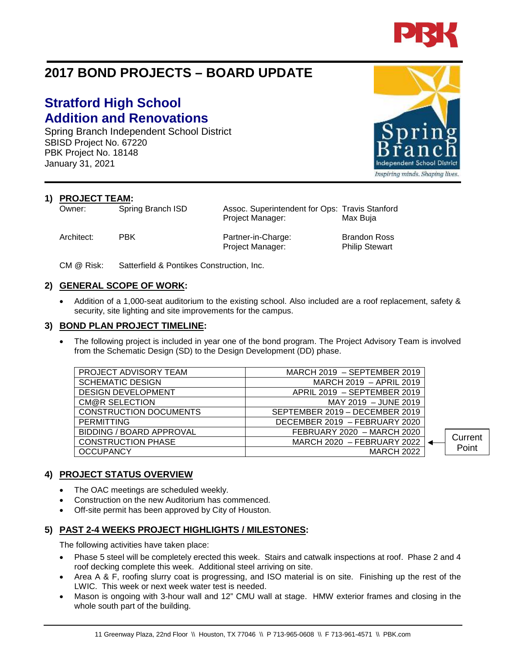

# **2017 BOND PROJECTS – BOARD UPDATE**

# **Stratford High School Addition and Renovations**

Spring Branch Independent School District SBISD Project No. 67220 PBK Project No. 18148 January 31, 2021

**1) PROJECT TEAM:**<br>Owner: Spring Branch ISD

Architect: PBK Partner-in-Charge: Brandon Ross Project Manager: Philip Stewart

Assoc. Superintendent for Ops: Travis Stanford Project Manager: Max Buja

CM @ Risk: Satterfield & Pontikes Construction, Inc.

## **2) GENERAL SCOPE OF WORK:**

• Addition of a 1,000-seat auditorium to the existing school. Also included are a roof replacement, safety & security, site lighting and site improvements for the campus.

#### **3) BOND PLAN PROJECT TIMELINE:**

The following project is included in year one of the bond program. The Project Advisory Team is involved from the Schematic Design (SD) to the Design Development (DD) phase.

| PROJECT ADVISORY TEAM           | MARCH 2019 - SEPTEMBER 2019    |         |
|---------------------------------|--------------------------------|---------|
| <b>SCHEMATIC DESIGN</b>         | MARCH 2019 - APRIL 2019        |         |
| <b>DESIGN DEVELOPMENT</b>       | APRIL 2019 - SEPTEMBER 2019    |         |
| CM@R SELECTION                  | MAY 2019 - JUNE 2019           |         |
| <b>CONSTRUCTION DOCUMENTS</b>   | SEPTEMBER 2019 - DECEMBER 2019 |         |
| <b>PERMITTING</b>               | DECEMBER 2019 - FEBRUARY 2020  |         |
| <b>BIDDING / BOARD APPROVAL</b> | FEBRUARY 2020 - MARCH 2020     |         |
| <b>CONSTRUCTION PHASE</b>       | MARCH 2020 - FEBRUARY 2022     | Current |
| <b>OCCUPANCY</b>                | <b>MARCH 2022</b>              | Point   |
|                                 |                                |         |

# **4) PROJECT STATUS OVERVIEW**

- The OAC meetings are scheduled weekly.
- Construction on the new Auditorium has commenced.
- Off-site permit has been approved by City of Houston.

### **5) PAST 2-4 WEEKS PROJECT HIGHLIGHTS / MILESTONES:**

The following activities have taken place:

- Phase 5 steel will be completely erected this week. Stairs and catwalk inspections at roof. Phase 2 and 4 roof decking complete this week. Additional steel arriving on site.
- Area A & F, roofing slurry coat is progressing, and ISO material is on site. Finishing up the rest of the LWIC. This week or next week water test is needed.
- Mason is ongoing with 3-hour wall and 12" CMU wall at stage. HMW exterior frames and closing in the whole south part of the building.



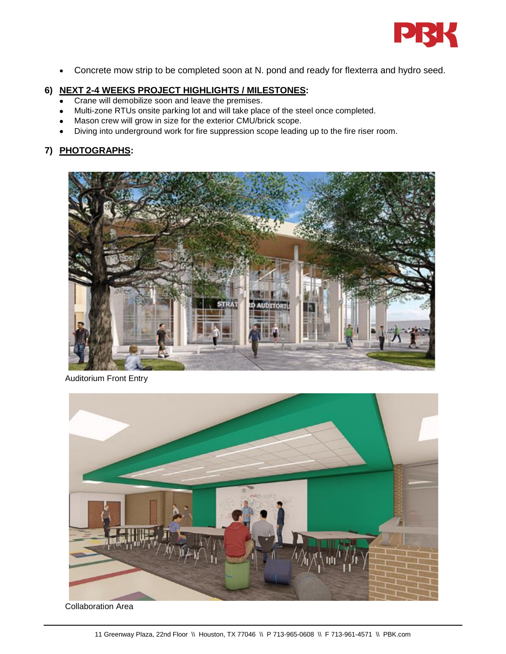

• Concrete mow strip to be completed soon at N. pond and ready for flexterra and hydro seed.

# **6) NEXT 2-4 WEEKS PROJECT HIGHLIGHTS / MILESTONES:**

- Crane will demobilize soon and leave the premises.
- Multi-zone RTUs onsite parking lot and will take place of the steel once completed.
- Mason crew will grow in size for the exterior CMU/brick scope.
- Diving into underground work for fire suppression scope leading up to the fire riser room.

# **7) PHOTOGRAPHS:**



Auditorium Front Entry



Collaboration Area